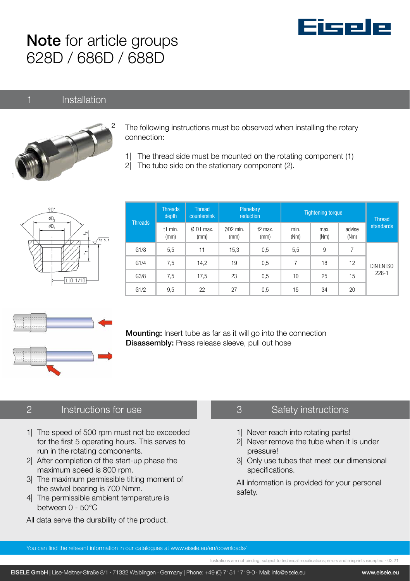

# Note for article groups 628D / 686D / 688D

#### 1 Installation



The following instructions must be observed when installing the rotary connection:

- 1| The thread side must be mounted on the rotating component (1)
- 2| The tube side on the stationary component (2).



| <b>Threads</b> | <b>Threads</b><br>depth | <b>Thread</b><br>countersink | Planetary<br>reduction |                             | <b>Tightening torque</b> |              |                | <b>Thread</b>           |
|----------------|-------------------------|------------------------------|------------------------|-----------------------------|--------------------------|--------------|----------------|-------------------------|
|                | t1 min.<br>(mm)         | Ø D1 max.<br>(mm)            | ØD2 min.<br>(mm)       | t <sub>2</sub> max.<br>(mm) | min.<br>(Nm)             | max.<br>(Nm) | advise<br>(Nm) | standards               |
| G1/8           | 5,5                     | 11                           | 15,3                   | 0.5                         | 5,5                      | 9            | 7              | DIN EN ISO<br>$228 - 1$ |
| G1/4           | 7,5                     | 14,2                         | 19                     | 0.5                         | 7                        | 18           | 12             |                         |
| G3/8           | 7,5                     | 17.5                         | 23                     | 0.5                         | 10                       | 25           | 15             |                         |
| G1/2           | 9,5                     | 22                           | 27                     | 0,5                         | 15                       | 34           | 20             |                         |



**Mounting:** Insert tube as far as it will go into the connection Disassembly: Press release sleeve, pull out hose

## 2 Instructions for use

- 1| The speed of 500 rpm must not be exceeded for the first 5 operating hours. This serves to run in the rotating components.
- 2| After completion of the start-up phase the maximum speed is 800 rpm.
- 3| The maximum permissible tilting moment of the swivel bearing is 700 Nmm.
- 4| The permissible ambient temperature is between 0 - 50°C
- All data serve the durability of the product.

### 3 Safety instructions

- 1| Never reach into rotating parts!
- 2| Never remove the tube when it is under pressure!
- 3| Only use tubes that meet our dimensional specifications.

All information is provided for your personal safety.

You can find the relevant information in our catalogues at www.eisele.eu/en/downloads/

llustrations are not binding; subject to technical modifications; errors and misprints excepted - 03.21